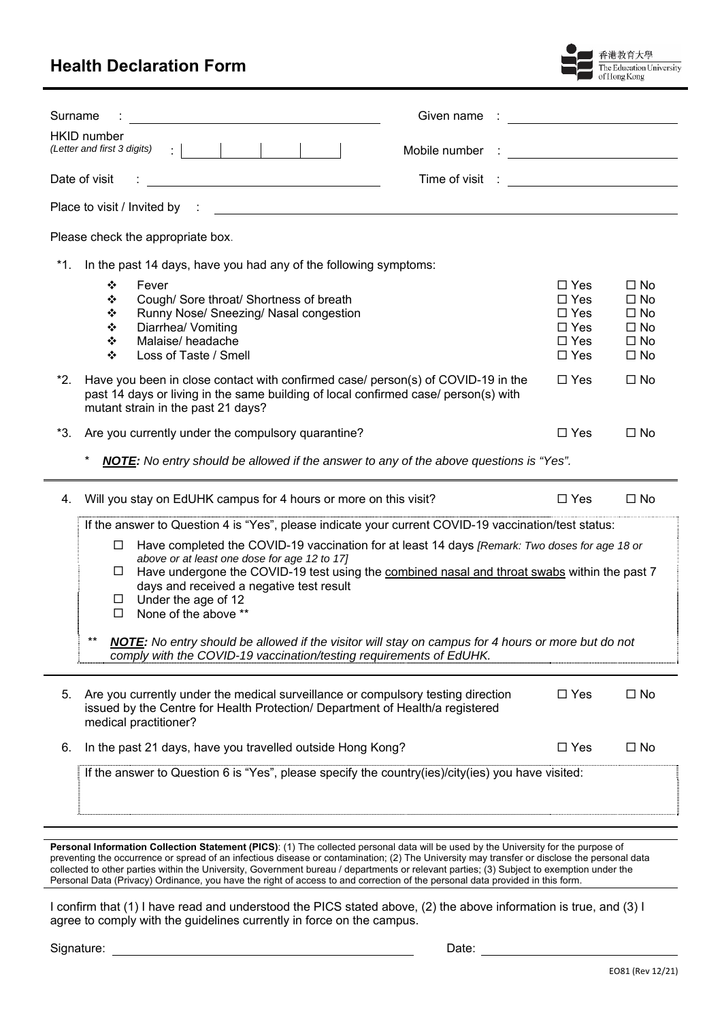## **Health Declaration Form**



| Surname<br>Given name                                                                                                                                                                                                                                                                                                                                                                                                                                                                                                                                                                                                                                        | <u> 1989 - Jan Barbara III, martx</u>                                                             |                                                                                                  |  |  |  |
|--------------------------------------------------------------------------------------------------------------------------------------------------------------------------------------------------------------------------------------------------------------------------------------------------------------------------------------------------------------------------------------------------------------------------------------------------------------------------------------------------------------------------------------------------------------------------------------------------------------------------------------------------------------|---------------------------------------------------------------------------------------------------|--------------------------------------------------------------------------------------------------|--|--|--|
| <b>HKID</b> number<br>Mobile number                                                                                                                                                                                                                                                                                                                                                                                                                                                                                                                                                                                                                          |                                                                                                   | <u> 1990 - Johann Barbara, martin a</u>                                                          |  |  |  |
| Date of visit<br>Time of visit : ____________________________                                                                                                                                                                                                                                                                                                                                                                                                                                                                                                                                                                                                |                                                                                                   |                                                                                                  |  |  |  |
| Place to visit / Invited by :                                                                                                                                                                                                                                                                                                                                                                                                                                                                                                                                                                                                                                |                                                                                                   |                                                                                                  |  |  |  |
| Please check the appropriate box.                                                                                                                                                                                                                                                                                                                                                                                                                                                                                                                                                                                                                            |                                                                                                   |                                                                                                  |  |  |  |
| *1.<br>In the past 14 days, have you had any of the following symptoms:                                                                                                                                                                                                                                                                                                                                                                                                                                                                                                                                                                                      |                                                                                                   |                                                                                                  |  |  |  |
| Fever<br>❖<br>Cough/ Sore throat/ Shortness of breath<br>❖<br>Runny Nose/ Sneezing/ Nasal congestion<br>❖<br>Diarrhea/ Vomiting<br>❖<br>Malaise/headache<br>❖<br>Loss of Taste / Smell<br>❖<br>*2.<br>Have you been in close contact with confirmed case/ person(s) of COVID-19 in the<br>past 14 days or living in the same building of local confirmed case/ person(s) with<br>mutant strain in the past 21 days?                                                                                                                                                                                                                                          | $\Box$ Yes<br>$\Box$ Yes<br>$\Box$ Yes<br>$\Box$ Yes<br>$\Box$ Yes<br>$\square$ Yes<br>$\Box$ Yes | $\Box$ No<br>$\Box$ No<br>$\Box$ No<br>$\Box$ No<br>$\square$ No<br>$\square$ No<br>$\square$ No |  |  |  |
| *3.<br>Are you currently under the compulsory quarantine?                                                                                                                                                                                                                                                                                                                                                                                                                                                                                                                                                                                                    | $\Box$ Yes                                                                                        | $\Box$ No                                                                                        |  |  |  |
| <b>NOTE:</b> No entry should be allowed if the answer to any of the above questions is "Yes".                                                                                                                                                                                                                                                                                                                                                                                                                                                                                                                                                                |                                                                                                   |                                                                                                  |  |  |  |
| Will you stay on EdUHK campus for 4 hours or more on this visit?<br>4.                                                                                                                                                                                                                                                                                                                                                                                                                                                                                                                                                                                       | $\Box$ Yes                                                                                        | $\Box$ No                                                                                        |  |  |  |
| If the answer to Question 4 is "Yes", please indicate your current COVID-19 vaccination/test status:<br>Have completed the COVID-19 vaccination for at least 14 days [Remark: Two doses for age 18 or<br>□<br>above or at least one dose for age 12 to 17]<br>Have undergone the COVID-19 test using the combined nasal and throat swabs within the past 7<br>⊔<br>days and received a negative test result<br>Under the age of 12<br>$\Box$<br>None of the above **<br>□<br>**<br>NOTE: No entry should be allowed if the visitor will stay on campus for 4 hours or more but do not<br>comply with the COVID-19 vaccination/testing requirements of EdUHK. |                                                                                                   |                                                                                                  |  |  |  |
| Are you currently under the medical surveillance or compulsory testing direction<br>5.<br>issued by the Centre for Health Protection/ Department of Health/a registered<br>medical practitioner?                                                                                                                                                                                                                                                                                                                                                                                                                                                             | $\Box$ Yes                                                                                        | $\square$ No                                                                                     |  |  |  |
| In the past 21 days, have you travelled outside Hong Kong?<br>6.                                                                                                                                                                                                                                                                                                                                                                                                                                                                                                                                                                                             | $\Box$ Yes                                                                                        | $\square$ No                                                                                     |  |  |  |
| If the answer to Question 6 is "Yes", please specify the country(ies)/city(ies) you have visited:                                                                                                                                                                                                                                                                                                                                                                                                                                                                                                                                                            |                                                                                                   |                                                                                                  |  |  |  |

**Personal Information Collection Statement (PICS)**: (1) The collected personal data will be used by the University for the purpose of preventing the occurrence or spread of an infectious disease or contamination; (2) The University may transfer or disclose the personal data collected to other parties within the University, Government bureau / departments or relevant parties; (3) Subject to exemption under the Personal Data (Privacy) Ordinance, you have the right of access to and correction of the personal data provided in this form.

I confirm that (1) I have read and understood the PICS stated above, (2) the above information is true, and (3) I agree to comply with the guidelines currently in force on the campus.

Signature: Date: Date: Date: Date: Date: Date: Date: Date: Date: Date: Date: Date: Date: Date: Date: Date: Date: Date: Date: Date: Date: Date: Date: Date: Date: Date: Date: Date: Date: Date: Date: Date: Date: Date: Date: D